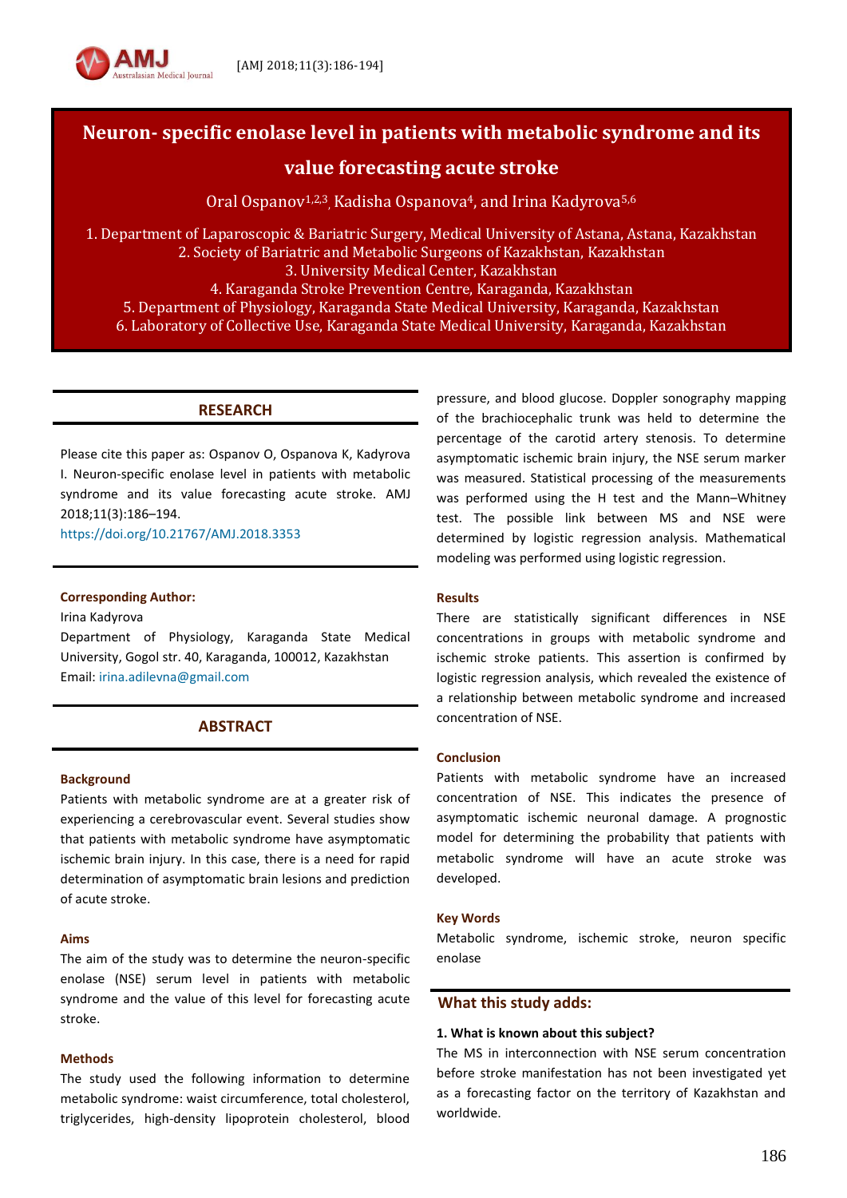

# **Neuron- specific enolase level in patients with metabolic syndrome and its**

# **value forecasting acute stroke**

Oral Ospanov<sup>1,2,3</sup>, Kadisha Ospanova<sup>4</sup>, and Irina Kadyrova<sup>5,6</sup>

1. Department of Laparoscopic & Bariatric Surgery, Medical University of Astana, Astana, Kazakhstan 2. Society of Bariatric and Metabolic Surgeons of Kazakhstan, Kazakhstan 3. University Medical Center, Kazakhstan 4. Karaganda Stroke Prevention Centre, Karaganda, Kazakhstan

5. Department of Physiology, Karaganda State Medical University, Karaganda, Kazakhstan 6. Laboratory of Collective Use, Karaganda State Medical University, Karaganda, Kazakhstan

### **RESEARCH**

Please cite this paper as: Ospanov O, Ospanova K, Kadyrova I. Neuron-specific enolase level in patients with metabolic syndrome and its value forecasting acute stroke. AMJ 2018;11(3):186–194.

<https://doi.org/10.21767/AMJ.2018.3353>

### **Corresponding Author:**

Irina Kadyrova

Department of Physiology, Karaganda State Medical University, Gogol str. 40, Karaganda, 100012, Kazakhstan Email: [irina.adilevna@gmail.com](mailto:irina.adilevna@gmail.com)

# **ABSTRACT**

#### **Background**

Patients with metabolic syndrome are at a greater risk of experiencing a cerebrovascular event. Several studies show that patients with metabolic syndrome have asymptomatic ischemic brain injury. In this case, there is a need for rapid determination of asymptomatic brain lesions and prediction of acute stroke.

#### **Aims**

The aim of the study was to determine the neuron-specific enolase (NSE) serum level in patients with metabolic syndrome and the value of this level for forecasting acute stroke.

#### **Methods**

The study used the following information to determine metabolic syndrome: waist circumference, total cholesterol, triglycerides, high-density lipoprotein cholesterol, blood pressure, and blood glucose. Doppler sonography mapping of the brachiocephalic trunk was held to determine the percentage of the carotid artery stenosis. To determine asymptomatic ischemic brain injury, the NSE serum marker was measured. Statistical processing of the measurements was performed using the H test and the Mann–Whitney test. The possible link between MS and NSE were determined by logistic regression analysis. Mathematical modeling was performed using logistic regression.

#### **Results**

There are statistically significant differences in NSE concentrations in groups with metabolic syndrome and ischemic stroke patients. This assertion is confirmed by logistic regression analysis, which revealed the existence of a relationship between metabolic syndrome and increased concentration of NSE.

#### **Conclusion**

Patients with metabolic syndrome have an increased concentration of NSE. This indicates the presence of asymptomatic ischemic neuronal damage. A prognostic model for determining the probability that patients with metabolic syndrome will have an acute stroke was developed.

#### **Key Words**

Metabolic syndrome, ischemic stroke, neuron specific enolase

### **What this study adds:**

#### **1. What is known about this subject?**

The MS in interconnection with NSE serum concentration before stroke manifestation has not been investigated yet as a forecasting factor on the territory of Kazakhstan and worldwide.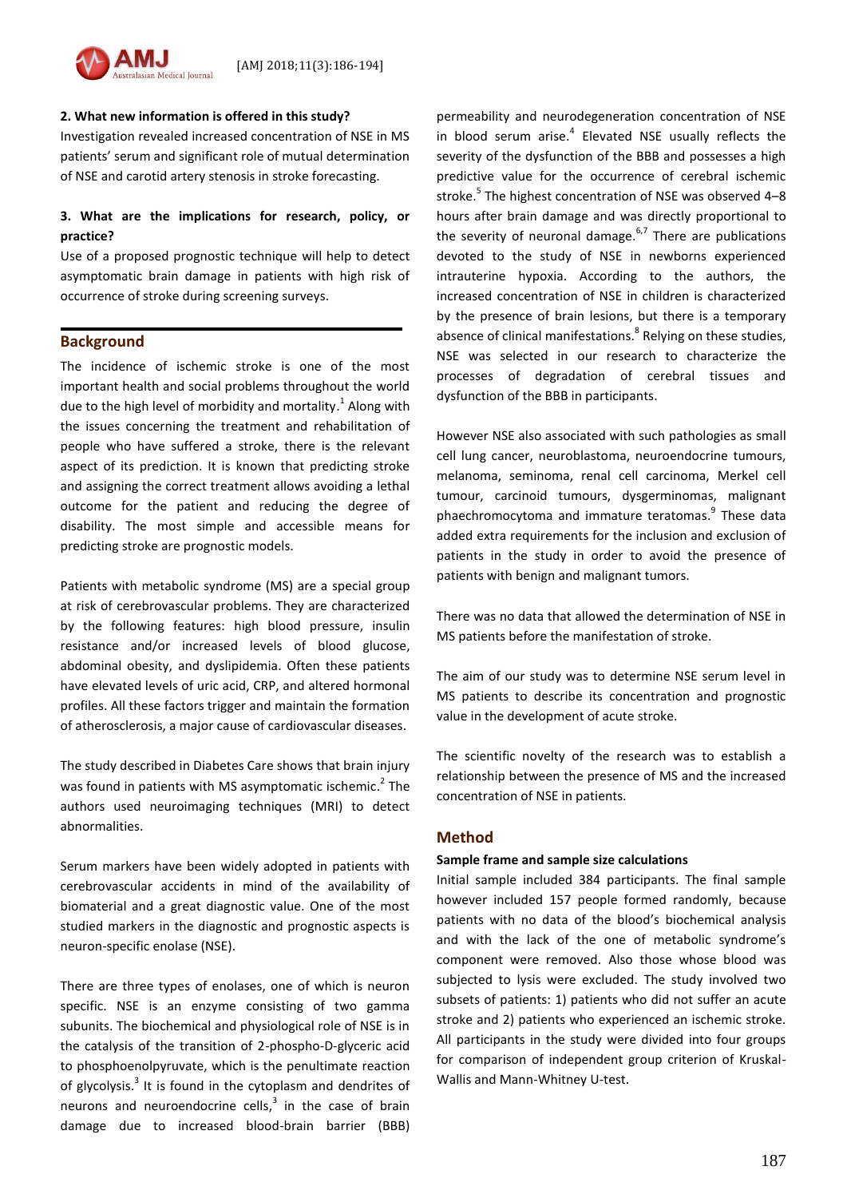

Investigation revealed increased concentration of NSE in MS patients' serum and significant role of mutual determination of NSE and carotid artery stenosis in stroke forecasting.

# **3. What are the implications for research, policy, or practice?**

Use of a proposed prognostic technique will help to detect asymptomatic brain damage in patients with high risk of occurrence of stroke during screening surveys.

### **Background**

The incidence of ischemic stroke is one of the most important health and social problems throughout the world due to the high level of morbidity and mortality.<sup>1</sup> Along with the issues concerning the treatment and rehabilitation of people who have suffered a stroke, there is the relevant aspect of its prediction. It is known that predicting stroke and assigning the correct treatment allows avoiding a lethal outcome for the patient and reducing the degree of disability. The most simple and accessible means for predicting stroke are prognostic models.

Patients with metabolic syndrome (MS) are a special group at risk of cerebrovascular problems. They are characterized by the following features: high blood pressure, insulin resistance and/or increased levels of blood glucose, abdominal obesity, and dyslipidemia. Often these patients have elevated levels of uric acid, CRP, and altered hormonal profiles. All these factors trigger and maintain the formation of atherosclerosis, a major cause of cardiovascular diseases.

The study described in Diabetes Care shows that brain injury was found in patients with MS asymptomatic ischemic.<sup>2</sup> The authors used neuroimaging techniques (MRI) to detect abnormalities.

Serum markers have been widely adopted in patients with cerebrovascular accidents in mind of the availability of biomaterial and a great diagnostic value. One of the most studied markers in the diagnostic and prognostic aspects is neuron-specific enolase (NSE).

There are three types of enolases, one of which is neuron specific. NSE is an enzyme consisting of two gamma subunits. The biochemical and physiological role of NSE is in the catalysis of the transition of 2-phospho-D-glyceric acid to phosphoenolpyruvate, which is the penultimate reaction of glycolysis.<sup>3</sup> It is found in the cytoplasm and dendrites of neurons and neuroendocrine cells, $3$  in the case of brain damage due to increased blood-brain barrier (BBB)

permeability and neurodegeneration concentration of NSE in blood serum arise.<sup>4</sup> Elevated NSE usually reflects the severity of the dysfunction of the BBB and possesses a high predictive value for the occurrence of cerebral ischemic stroke. 5 The highest concentration of NSE was observed 4–8 hours after brain damage and was directly proportional to the severity of neuronal damage.<sup>6,7</sup> There are publications devoted to the study of NSE in newborns experienced intrauterine hypoxia. According to the authors, the increased concentration of NSE in children is characterized by the presence of brain lesions, but there is a temporary absence of clinical manifestations.<sup>8</sup> Relying on these studies, NSE was selected in our research to characterize the processes of degradation of cerebral tissues and dysfunction of the BBB in participants.

However NSE also associated with such pathologies as small cell lung cancer, neuroblastoma, neuroendocrine tumours, melanoma, seminoma, renal cell carcinoma, Merkel cell tumour, carcinoid tumours, dysgerminomas, malignant phaechromocytoma and immature teratomas.<sup>9</sup> These data added extra requirements for the inclusion and exclusion of patients in the study in order to avoid the presence of patients with benign and malignant tumors.

There was no data that allowed the determination of NSE in MS patients before the manifestation of stroke.

The aim of our study was to determine NSE serum level in MS patients to describe its concentration and prognostic value in the development of acute stroke.

The scientific novelty of the research was to establish a relationship between the presence of MS and the increased concentration of NSE in patients.

# **Method**

### **Sample frame and sample size calculations**

Initial sample included 384 participants. The final sample however included 157 people formed randomly, because patients with no data of the blood's biochemical analysis and with the lack of the one of metabolic syndrome's component were removed. Also those whose blood was subjected to lysis were excluded. The study involved two subsets of patients: 1) patients who did not suffer an acute stroke and 2) patients who experienced an ischemic stroke. All participants in the study were divided into four groups for comparison of independent group criterion of Kruskal-Wallis and Mann-Whitney U-test.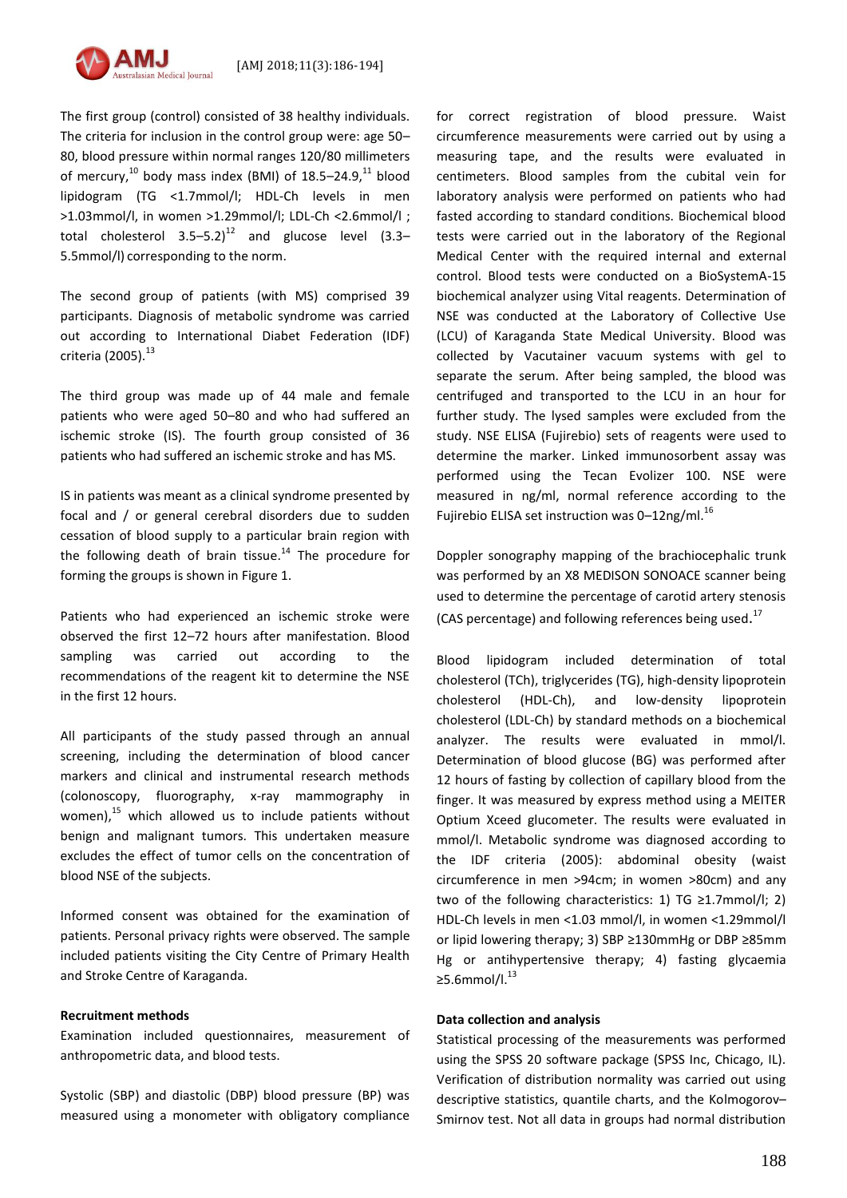

The first group (control) consisted of 38 healthy individuals. The criteria for inclusion in the control group were: age 50– 80, blood pressure within normal ranges 120/80 millimeters of mercury,<sup>10</sup> body mass index (BMI) of 18.5–24.9,<sup>11</sup> blood lipidogram (TG <1.7mmol/l; HDL-Ch levels in men >1.03mmol/l, in women >1.29mmol/l; LDL-Ch <2.6mmol/l ; total cholesterol  $3.5-5.2$ <sup>12</sup> and glucose level (3.3– 5.5mmol/l) corresponding to the norm.

The second group of patients (with MS) comprised 39 participants. Diagnosis of metabolic syndrome was carried out according to International Diabet Federation (IDF) criteria (2005). <sup>13</sup>

The third group was made up of 44 male and female patients who were aged 50–80 and who had suffered an ischemic stroke (IS). The fourth group consisted of 36 patients who had suffered an ischemic stroke and has MS.

IS in patients was meant as a clinical syndrome presented by focal and / or general cerebral disorders due to sudden cessation of blood supply to a particular brain region with the following death of brain tissue.<sup>14</sup> The procedure for forming the groups is shown in Figure 1.

Patients who had experienced an ischemic stroke were observed the first 12–72 hours after manifestation. Blood sampling was carried out according to the recommendations of the reagent kit to determine the NSE in the first 12 hours.

All participants of the study passed through an annual screening, including the determination of blood cancer markers and clinical and instrumental research methods (colonoscopy, fluorography, x-ray mammography in women),<sup>15</sup> which allowed us to include patients without benign and malignant tumors. This undertaken measure excludes the effect of tumor cells on the concentration of blood NSE of the subjects.

Informed consent was obtained for the examination of patients. Personal privacy rights were observed. The sample included patients visiting the City Centre of Primary Health and Stroke Centre of Karaganda.

#### **Recruitment methods**

Examination included questionnaires, measurement of anthropometric data, and blood tests.

Systolic (SBP) and diastolic (DBP) blood pressure (BP) was measured using a monometer with obligatory compliance

for correct registration of blood pressure. Waist circumference measurements were carried out by using a measuring tape, and the results were evaluated in centimeters. Blood samples from the cubital vein for laboratory analysis were performed on patients who had fasted according to standard conditions. Biochemical blood tests were carried out in the laboratory of the Regional Medical Center with the required internal and external control. Blood tests were conducted on a BioSystemA-15 biochemical analyzer using Vital reagents. Determination of NSE was conducted at the Laboratory of Collective Use (LCU) of Karaganda State Medical University. Blood was collected by Vacutainer vacuum systems with gel to separate the serum. After being sampled, the blood was centrifuged and transported to the LCU in an hour for further study. The lysed samples were excluded from the study. NSE ELISA (Fujirebio) sets of reagents were used to determine the marker. Linked immunosorbent assay was performed using the Tecan Evolizer 100. NSE were measured in ng/ml, normal reference according to the Fujirebio ELISA set instruction was 0-12ng/ml.<sup>16</sup>

Doppler sonography mapping of the brachiocephalic trunk was performed by an X8 MEDISON SONOACE scanner being used to determine the percentage of carotid artery stenosis (CAS percentage) and following references being used.<sup>17</sup>

Blood lipidogram included determination of total cholesterol (TCh), triglycerides (TG), high-density lipoprotein cholesterol (HDL-Ch), and low-density lipoprotein cholesterol (LDL-Ch) by standard methods on a biochemical analyzer. The results were evaluated in mmol/l. Determination of blood glucose (BG) was performed after 12 hours of fasting by collection of capillary blood from the finger. It was measured by express method using a MEITER Optium Xceed glucometer. The results were evaluated in mmol/l. Metabolic syndrome was diagnosed according to the IDF criteria (2005): abdominal obesity (waist circumference in men >94cm; in women >80cm) and any two of the following characteristics: 1) TG ≥1.7mmol/l; 2) HDL-Ch levels in men <1.03 mmol/l, in women <1.29mmol/l or lipid lowering therapy; 3) SBP ≥130mmHg or DBP ≥85mm Hg or antihypertensive therapy; 4) fasting glycaemia ≥5.6mmol/l. $^{13}$ 

### **Data collection and analysis**

Statistical processing of the measurements was performed using the SPSS 20 software package (SPSS Inc, Chicago, IL). Verification of distribution normality was carried out using descriptive statistics, quantile charts, and the Kolmogorov– Smirnov test. Not all data in groups had normal distribution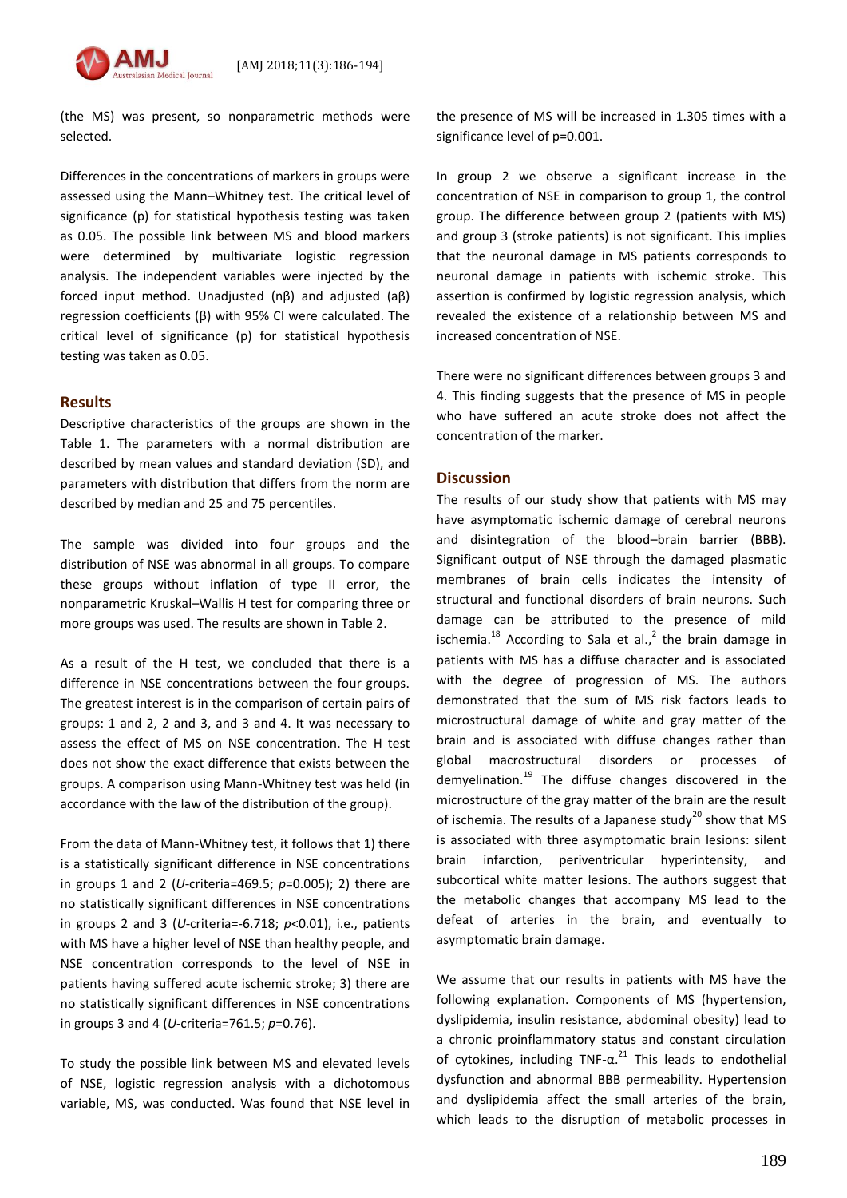[AMJ 2018;11(3):186-194]

(the MS) was present, so nonparametric methods were selected.

Differences in the concentrations of markers in groups were assessed using the Mann–Whitney test. The critical level of significance (p) for statistical hypothesis testing was taken as 0.05. The possible link between MS and blood markers were determined by multivariate logistic regression analysis. The independent variables were injected by the forced input method. Unadjusted (nβ) and adjusted (aβ) regression coefficients (β) with 95% CI were calculated. The critical level of significance (p) for statistical hypothesis testing was taken as 0.05.

# **Results**

Descriptive characteristics of the groups are shown in the Table 1. The parameters with a normal distribution are described by mean values and standard deviation (SD), and parameters with distribution that differs from the norm are described by median and 25 and 75 percentiles.

The sample was divided into four groups and the distribution of NSE was abnormal in all groups. To compare these groups without inflation of type II error, the nonparametric Kruskal–Wallis H test for comparing three or more groups was used. The results are shown in Table 2.

As a result of the H test, we concluded that there is a difference in NSE concentrations between the four groups. The greatest interest is in the comparison of certain pairs of groups: 1 and 2, 2 and 3, and 3 and 4. It was necessary to assess the effect of MS on NSE concentration. The H test does not show the exact difference that exists between the groups. A comparison using Mann-Whitney test was held (in accordance with the law of the distribution of the group).

From the data of Mann-Whitney test, it follows that 1) there is a statistically significant difference in NSE concentrations in groups 1 and 2 (*U*-criteria=469.5; *р*=0.005); 2) there are no statistically significant differences in NSE concentrations in groups 2 and 3 (*U*-criteria=-6.718; *р*<0.01), i.e., patients with MS have a higher level of NSE than healthy people, and NSE concentration corresponds to the level of NSE in patients having suffered acute ischemic stroke; 3) there are no statistically significant differences in NSE concentrations in groups 3 and 4 (*U*-criteria=761.5; *р*=0.76).

To study the possible link between MS and elevated levels of NSE, logistic regression analysis with a dichotomous variable, MS, was conducted. Was found that NSE level in the presence of MS will be increased in 1.305 times with a significance level of p=0.001.

In group 2 we observe a significant increase in the concentration of NSE in comparison to group 1, the control group. The difference between group 2 (patients with MS) and group 3 (stroke patients) is not significant. This implies that the neuronal damage in MS patients corresponds to neuronal damage in patients with ischemic stroke. This assertion is confirmed by logistic regression analysis, which revealed the existence of a relationship between MS and increased concentration of NSE.

There were no significant differences between groups 3 and 4. This finding suggests that the presence of MS in people who have suffered an acute stroke does not affect the concentration of the marker.

### **Discussion**

The results of our study show that patients with MS may have asymptomatic ischemic damage of cerebral neurons and disintegration of the blood–brain barrier (BBB). Significant output of NSE through the damaged plasmatic membranes of brain cells indicates the intensity of structural and functional disorders of brain neurons. Such damage can be attributed to the presence of mild ischemia. $^{18}$  According to Sala et al., $^2$  the brain damage in patients with MS has a diffuse character and is associated with the degree of progression of MS. The authors demonstrated that the sum of MS risk factors leads to microstructural damage of white and gray matter of the brain and is associated with diffuse changes rather than global macrostructural disorders or processes of demyelination.<sup>19</sup> The diffuse changes discovered in the microstructure of the gray matter of the brain are the result of ischemia. The results of a Japanese study<sup>20</sup> show that MS is associated with three asymptomatic brain lesions: silent brain infarction, periventricular hyperintensity, and subcortical white matter lesions. The authors suggest that the metabolic changes that accompany MS lead to the defeat of arteries in the brain, and eventually to asymptomatic brain damage.

We assume that our results in patients with MS have the following explanation. Components of MS (hypertension, dyslipidemia, insulin resistance, abdominal obesity) lead to a chronic proinflammatory status and constant circulation of cytokines, including  $TNF-\alpha$ <sup>21</sup> This leads to endothelial dysfunction and abnormal BBB permeability. Hypertension and dyslipidemia affect the small arteries of the brain, which leads to the disruption of metabolic processes in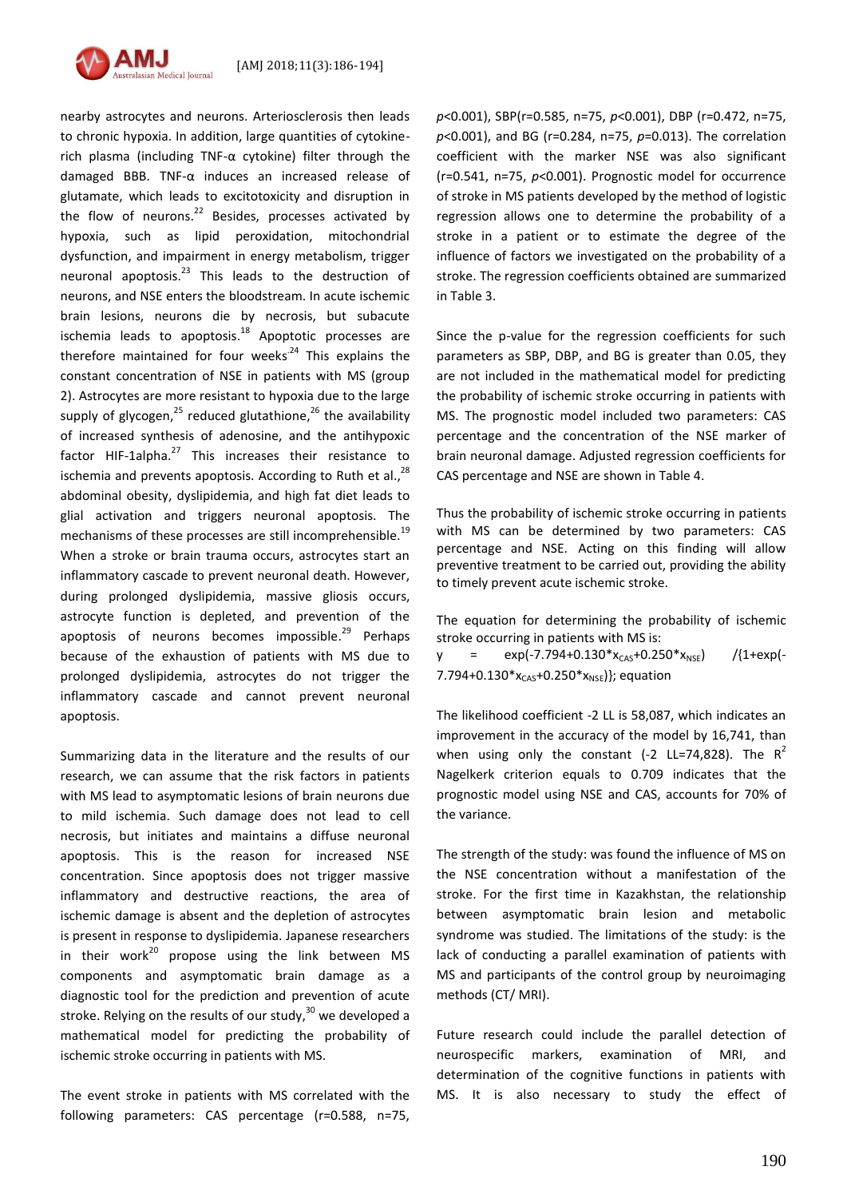

nearby astrocytes and neurons. Arteriosclerosis then leads to chronic hypoxia. In addition, large quantities of cytokinerich plasma (including TNF- $\alpha$  cytokine) filter through the damaged BBB. TNF-α induces an increased release of glutamate, which leads to excitotoxicity and disruption in the flow of neurons.<sup>22</sup> Besides, processes activated by hypoxia, such as lipid peroxidation, mitochondrial dysfunction, and impairment in energy metabolism, trigger neuronal apoptosis.<sup>23</sup> This leads to the destruction of neurons, and NSE enters the bloodstream. In acute ischemic brain lesions, neurons die by necrosis, but subacute ischemia leads to apoptosis.<sup>18</sup> Apoptotic processes are therefore maintained for four weeks<sup>-24</sup> This explains the constant concentration of NSE in patients with MS (group 2). Astrocytes are more resistant to hypoxia due to the large supply of glycogen,<sup>25</sup> reduced glutathione,<sup>26</sup> the availability of increased synthesis of adenosine, and the antihypoxic factor HIF-1alpha.<sup>27</sup> This increases their resistance to ischemia and prevents apoptosis. According to Ruth et al.,<sup>28</sup> abdominal obesity, dyslipidemia, and high fat diet leads to glial activation and triggers neuronal apoptosis. The mechanisms of these processes are still incomprehensible.<sup>19</sup> When a stroke or brain trauma occurs, astrocytes start an inflammatory cascade to prevent neuronal death. However, during prolonged dyslipidemia, massive gliosis occurs, astrocyte function is depleted, and prevention of the apoptosis of neurons becomes impossible.<sup>29</sup> Perhaps because of the exhaustion of patients with MS due to prolonged dyslipidemia, astrocytes do not trigger the inflammatory cascade and cannot prevent neuronal apoptosis.

Summarizing data in the literature and the results of our research, we can assume that the risk factors in patients with MS lead to asymptomatic lesions of brain neurons due to mild ischemia. Such damage does not lead to cell necrosis, but initiates and maintains a diffuse neuronal apoptosis. This is the reason for increased NSE concentration. Since apoptosis does not trigger massive inflammatory and destructive reactions, the area of ischemic damage is absent and the depletion of astrocytes is present in response to dyslipidemia. Japanese researchers in their work<sup>20</sup> propose using the link between MS components and asymptomatic brain damage as a diagnostic tool for the prediction and prevention of acute stroke. Relying on the results of our study,<sup>30</sup> we developed a mathematical model for predicting the probability of ischemic stroke occurring in patients with MS.

The event stroke in patients with MS correlated with the following parameters: CAS percentage (r=0.588, n=75,

*p*<0.001), SBP(r=0.585, n=75, *p*<0.001), DBP (r=0.472, n=75, *p*<0.001), and BG (r=0.284, n=75, *p*=0.013). The correlation coefficient with the marker NSE was also significant (r=0.541, n=75, *p*<0.001). Prognostic model for occurrence of stroke in MS patients developed by the method of logistic regression allows one to determine the probability of a stroke in a patient or to estimate the degree of the influence of factors we investigated on the probability of a stroke. The regression coefficients obtained are summarized in Table 3.

Since the p-value for the regression coefficients for such parameters as SBP, DBP, and BG is greater than 0.05, they are not included in the mathematical model for predicting the probability of ischemic stroke occurring in patients with MS. The prognostic model included two parameters: CAS percentage and the concentration of the NSE marker of brain neuronal damage. Adjusted regression coefficients for CAS percentage and NSE are shown in Table 4.

Thus the probability of ischemic stroke occurring in patients with MS can be determined by two parameters: CAS percentage and NSE. Acting on this finding will allow preventive treatment to be carried out, providing the ability to timely prevent acute ischemic stroke.

The equation for determining the probability of ischemic stroke occurring in patients with MS is:

 $y = \exp(-7.794+0.130*x_{CAS}+0.250*x_{NSE})$  /{1+exp(-7.794+0.130\* $x_{CAS}$ +0.250\* $x_{NSE}$ }; equation

The likelihood coefficient -2 LL is 58,087, which indicates an improvement in the accuracy of the model by 16,741, than when using only the constant (-2 LL=74,828). The  $R^2$ Nagelkerk criterion equals to 0.709 indicates that the prognostic model using NSE and CAS, accounts for 70% of the variance.

The strength of the study: was found the influence of MS on the NSE concentration without a manifestation of the stroke. For the first time in Kazakhstan, the relationship between asymptomatic brain lesion and metabolic syndrome was studied. The limitations of the study: is the lack of conducting a parallel examination of patients with MS and participants of the control group by neuroimaging methods (CT/ MRI).

Future research could include the parallel detection of neurospecific markers, examination of MRI, and determination of the cognitive functions in patients with MS. It is also necessary to study the effect of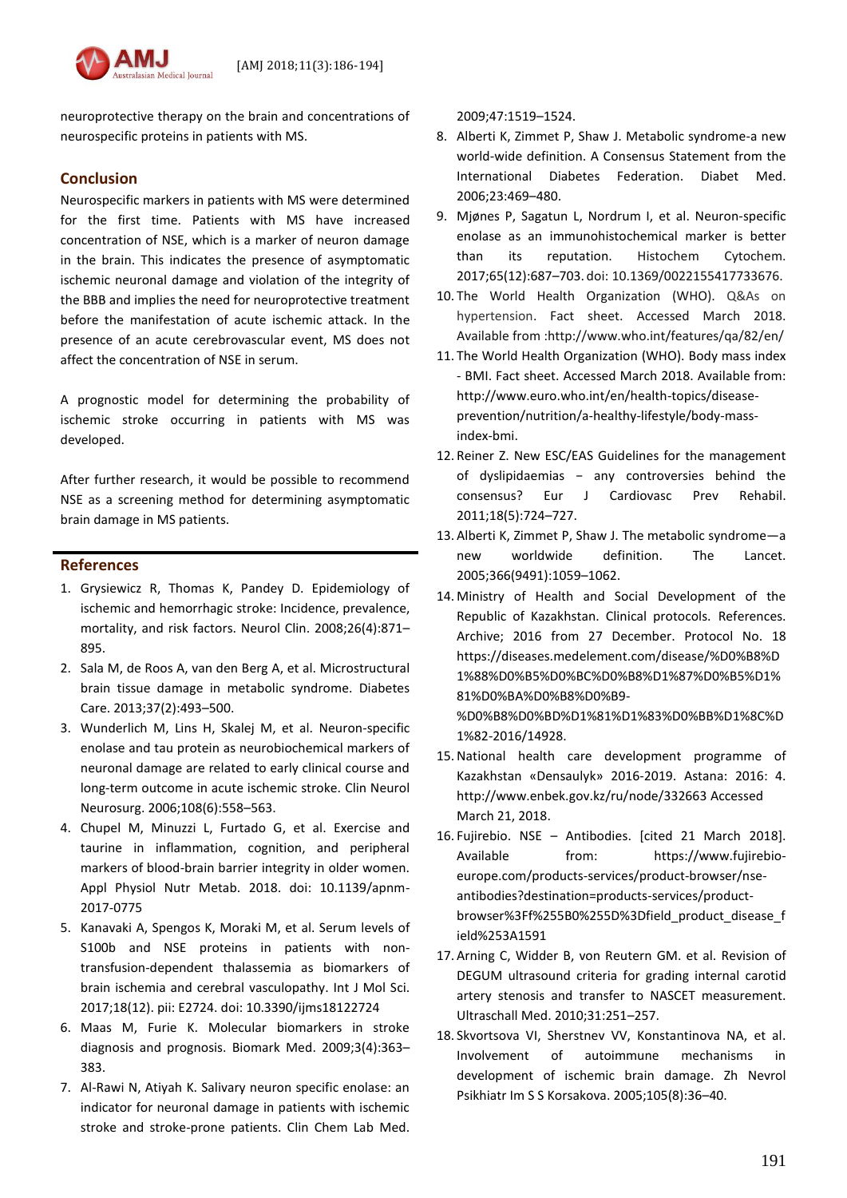

neuroprotective therapy on the brain and concentrations of neurospecific proteins in patients with MS.

# **Conclusion**

Neurospecific markers in patients with MS were determined for the first time. Patients with MS have increased concentration of NSE, which is a marker of neuron damage in the brain. This indicates the presence of asymptomatic ischemic neuronal damage and violation of the integrity of the BBB and implies the need for neuroprotective treatment before the manifestation of acute ischemic attack. In the presence of an acute cerebrovascular event, MS does not affect the concentration of NSE in serum.

A prognostic model for determining the probability of ischemic stroke occurring in patients with MS was developed.

After further research, it would be possible to recommend NSE as a screening method for determining asymptomatic brain damage in MS patients.

# **References**

- 1. Grysiewicz R, Thomas K, Pandey D. Epidemiology of ischemic and hemorrhagic stroke: Incidence, prevalence, mortality, and risk factors. Neurol Clin. 2008;26(4):871– 895.
- 2. Sala M, de Roos A, van den Berg A, et al. Microstructural brain tissue damage in metabolic syndrome. Diabetes Care. 2013;37(2):493–500.
- 3. Wunderlich M, Lins H, Skalej M, et al. Neuron-specific enolase and tau protein as neurobiochemical markers of neuronal damage are related to early clinical course and long-term outcome in acute ischemic stroke. Clin Neurol Neurosurg. 2006;108(6):558–563.
- 4. Chupel M, Minuzzi L, Furtado G, et al. Exercise and taurine in inflammation, cognition, and peripheral markers of blood-brain barrier integrity in older women. Appl Physiol Nutr Metab. 2018. doi: 10.1139/apnm-2017-0775
- 5. Kanavaki A, Spengos K, Moraki M, et al. Serum levels of S100b and NSE proteins in patients with nontransfusion-dependent thalassemia as biomarkers of brain ischemia and cerebral vasculopathy. Int J Mol Sci. 2017;18(12). pii: E2724. doi: 10.3390/ijms18122724
- 6. Maas M, Furie K. Molecular biomarkers in stroke diagnosis and prognosis. Biomark Med. 2009;3(4):363– 383.
- 7. Al-Rawi N, Atiyah K. Salivary neuron specific enolase: an indicator for neuronal damage in patients with ischemic stroke and stroke-prone patients. Clin Chem Lab Med.

2009;47:1519–1524.

- 8. Alberti K, Zimmet P, Shaw J. Metabolic syndrome-a new world-wide definition. A Consensus Statement from the International Diabetes Federation. Diabet Med. 2006;23:469–480.
- 9. Mjønes P, Sagatun L, Nordrum I, et al. Neuron-specific enolase as an immunohistochemical marker is better than its reputation. Histochem Cytochem. 2017;65(12):687–703. doi: 10.1369/0022155417733676.
- 10. The World Health Organization (WHO). Q&As on hypertension. Fact sheet. Accessed March 2018. Available from :http://www.who.int/features/qa/82/en/
- 11. The World Health Organization (WHO). Body mass index - BMI. Fact sheet. Accessed March 2018. Available from: [http://www.euro.who.int/en/health-topics/disease](http://www.euro.who.int/en/health-topics/disease-prevention/nutrition/a-healthy-lifestyle/body-mass-index-bmi)[prevention/nutrition/a-healthy-lifestyle/body-mass](http://www.euro.who.int/en/health-topics/disease-prevention/nutrition/a-healthy-lifestyle/body-mass-index-bmi)[index-bmi.](http://www.euro.who.int/en/health-topics/disease-prevention/nutrition/a-healthy-lifestyle/body-mass-index-bmi)
- 12. Reiner Z. New ESC/EAS Guidelines for the management of dyslipidaemias − any controversies behind the consensus? Eur J Cardiovasc Prev Rehabil. 2011;18(5):724–727.
- 13. Alberti K, Zimmet P, Shaw J. The metabolic syndrome—a new worldwide definition. The Lancet. 2005;366(9491):1059–1062.
- 14. Ministry of Health and Social Development of the Republic of Kazakhstan. Clinical protocols. References. Archive; 2016 from 27 December. Protocol No. 18 [https://diseases.medelement.com/disease/%D0%B8%D](https://diseases.medelement.com/disease/%D0%B8%D1%88%D0%B5%D0%BC%D0%B8%D1%87%D0%B5%D1%81%D0%BA%D0%B8%D0%B9-%D0%B8%D0%BD%D1%81%D1%83%D0%BB%D1%8C%D1%82-2016/14928) [1%88%D0%B5%D0%BC%D0%B8%D1%87%D0%B5%D1%](https://diseases.medelement.com/disease/%D0%B8%D1%88%D0%B5%D0%BC%D0%B8%D1%87%D0%B5%D1%81%D0%BA%D0%B8%D0%B9-%D0%B8%D0%BD%D1%81%D1%83%D0%BB%D1%8C%D1%82-2016/14928) [81%D0%BA%D0%B8%D0%B9-](https://diseases.medelement.com/disease/%D0%B8%D1%88%D0%B5%D0%BC%D0%B8%D1%87%D0%B5%D1%81%D0%BA%D0%B8%D0%B9-%D0%B8%D0%BD%D1%81%D1%83%D0%BB%D1%8C%D1%82-2016/14928) [%D0%B8%D0%BD%D1%81%D1%83%D0%BB%D1%8C%D](https://diseases.medelement.com/disease/%D0%B8%D1%88%D0%B5%D0%BC%D0%B8%D1%87%D0%B5%D1%81%D0%BA%D0%B8%D0%B9-%D0%B8%D0%BD%D1%81%D1%83%D0%BB%D1%8C%D1%82-2016/14928) [1%82-2016/14928.](https://diseases.medelement.com/disease/%D0%B8%D1%88%D0%B5%D0%BC%D0%B8%D1%87%D0%B5%D1%81%D0%BA%D0%B8%D0%B9-%D0%B8%D0%BD%D1%81%D1%83%D0%BB%D1%8C%D1%82-2016/14928)
- 15.National health care development programme of Kazakhstan «Densaulyk» 2016-2019. Astana: 2016: 4. http://www.enbek.gov.kz/ru/node/332663 Accessed March 21, 2018.
- 16. Fujirebio. NSE Antibodies. [cited 21 March 2018]. Available from: [https://www.fujirebio](https://www.fujirebio-europe.com/products-services/product-browser/nse-antibodies?destination=products-services/product-browser%3Ff%255B0%255D%3Dfield_product_disease_field%253A1591)[europe.com/products-services/product-browser/nse](https://www.fujirebio-europe.com/products-services/product-browser/nse-antibodies?destination=products-services/product-browser%3Ff%255B0%255D%3Dfield_product_disease_field%253A1591)[antibodies?destination=products-services/product](https://www.fujirebio-europe.com/products-services/product-browser/nse-antibodies?destination=products-services/product-browser%3Ff%255B0%255D%3Dfield_product_disease_field%253A1591)[browser%3Ff%255B0%255D%3Dfield\\_product\\_disease\\_f](https://www.fujirebio-europe.com/products-services/product-browser/nse-antibodies?destination=products-services/product-browser%3Ff%255B0%255D%3Dfield_product_disease_field%253A1591) [ield%253A1591](https://www.fujirebio-europe.com/products-services/product-browser/nse-antibodies?destination=products-services/product-browser%3Ff%255B0%255D%3Dfield_product_disease_field%253A1591)
- 17. Arning C, Widder B, von Reutern GM. et al. Revision of DEGUM ultrasound criteria for grading internal carotid artery stenosis and transfer to NASCET measurement. Ultraschall Med. 2010;31:251–257.
- 18. Skvortsova VI, Sherstnev VV, Konstantinova NA, et al. Involvement of autoimmune mechanisms in development of ischemic brain damage. Zh Nevrol Psikhiatr Im S S Korsakova. 2005;105(8):36–40.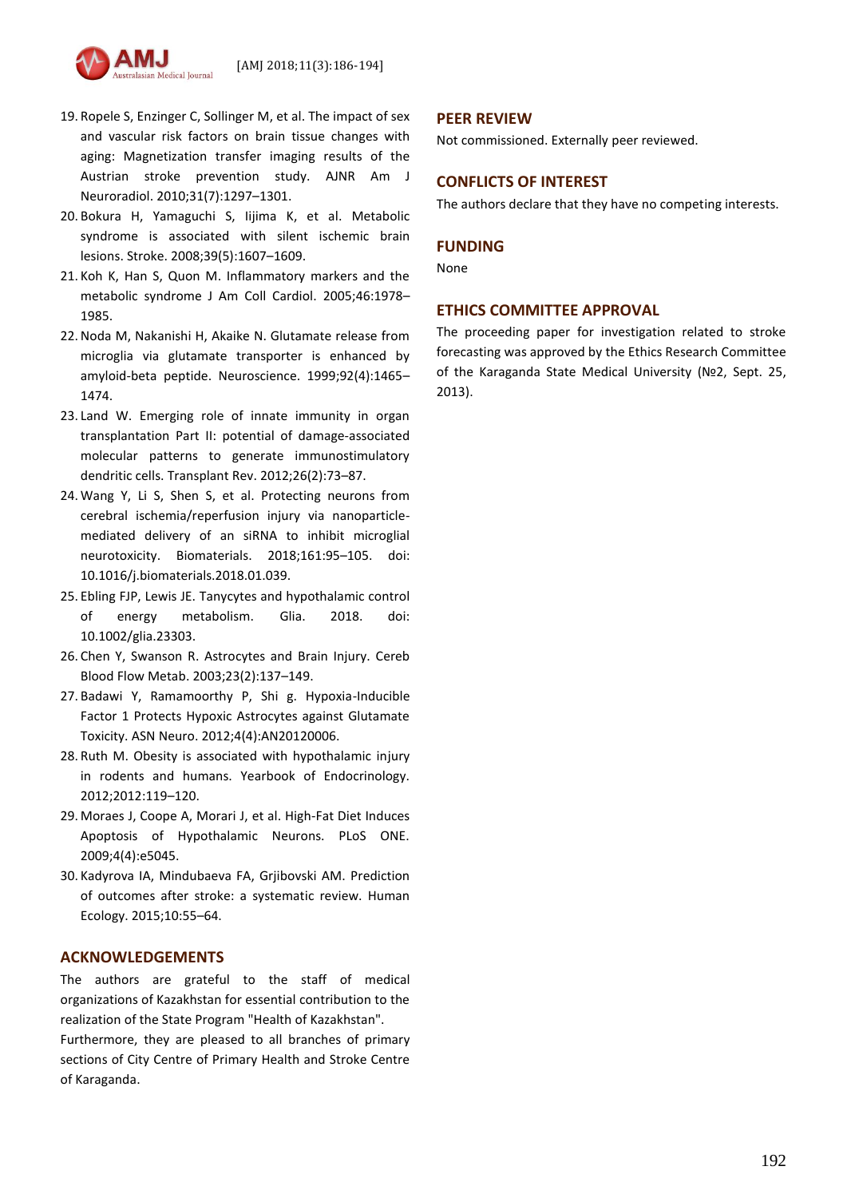

- 19. Ropele S, Enzinger C, Sollinger M, et al. The impact of sex and vascular risk factors on brain tissue changes with aging: Magnetization transfer imaging results of the Austrian stroke prevention study. AJNR Am J Neuroradiol. 2010;31(7):1297–1301.
- 20. Bokura H, Yamaguchi S, Iijima K, et al. Metabolic syndrome is associated with silent ischemic brain lesions. Stroke. 2008;39(5):1607–1609.
- 21. Koh K, Han S, Quon M. Inflammatory markers and the metabolic syndrome J Am Coll Cardiol. 2005;46:1978– 1985.
- 22.Noda M, Nakanishi H, Akaike N. Glutamate release from microglia via glutamate transporter is enhanced by amyloid-beta peptide. Neuroscience. 1999;92(4):1465– 1474.
- 23. Land W. Emerging role of innate immunity in organ transplantation Part II: potential of damage-associated molecular patterns to generate immunostimulatory dendritic cells. Transplant Rev. 2012;26(2):73–87.
- 24. Wang Y, Li S, Shen S, et al. Protecting neurons from cerebral ischemia/reperfusion injury via nanoparticlemediated delivery of an siRNA to inhibit microglial neurotoxicity. Biomaterials. 2018;161:95–105. doi: 10.1016/j.biomaterials.2018.01.039.
- 25. Ebling FJP, Lewis JE. Tanycytes and hypothalamic control of energy metabolism. Glia. 2018. doi: 10.1002/glia.23303.
- 26. Chen Y, Swanson R. Astrocytes and Brain Injury. Cereb Blood Flow Metab. 2003;23(2):137–149.
- 27. Badawi Y, Ramamoorthy P, Shi g. Hypoxia-Inducible Factor 1 Protects Hypoxic Astrocytes against Glutamate Toxicity. ASN Neuro. 2012;4(4):AN20120006.
- 28. Ruth M. Obesity is associated with hypothalamic injury in rodents and humans. Yearbook of Endocrinology. 2012;2012:119–120.
- 29. Moraes J, Coope A, Morari J, et al. High-Fat Diet Induces Apoptosis of Hypothalamic Neurons. PLoS ONE. 2009;4(4):e5045.
- 30. Kadyrova IA, Mindubaeva FA, Grjibovski AM. Prediction of outcomes after stroke: a systematic review. Human Ecology. 2015;10:55–64.

### **ACKNOWLEDGEMENTS**

The authors are grateful to the staff of medical organizations of Kazakhstan for essential contribution to the realization of the State Program "Health of Kazakhstan". Furthermore, they are pleased to all branches of primary sections of City Centre of Primary Health and Stroke Centre of Karaganda.

# **PEER REVIEW**

Not commissioned. Externally peer reviewed.

# **CONFLICTS OF INTEREST**

The authors declare that they have no competing interests.

### **FUNDING**

None

### **ETHICS COMMITTEE APPROVAL**

The proceeding paper for investigation related to stroke forecasting was approved by the Ethics Research Committee of the Karaganda State Medical University (№2, Sept. 25, 2013).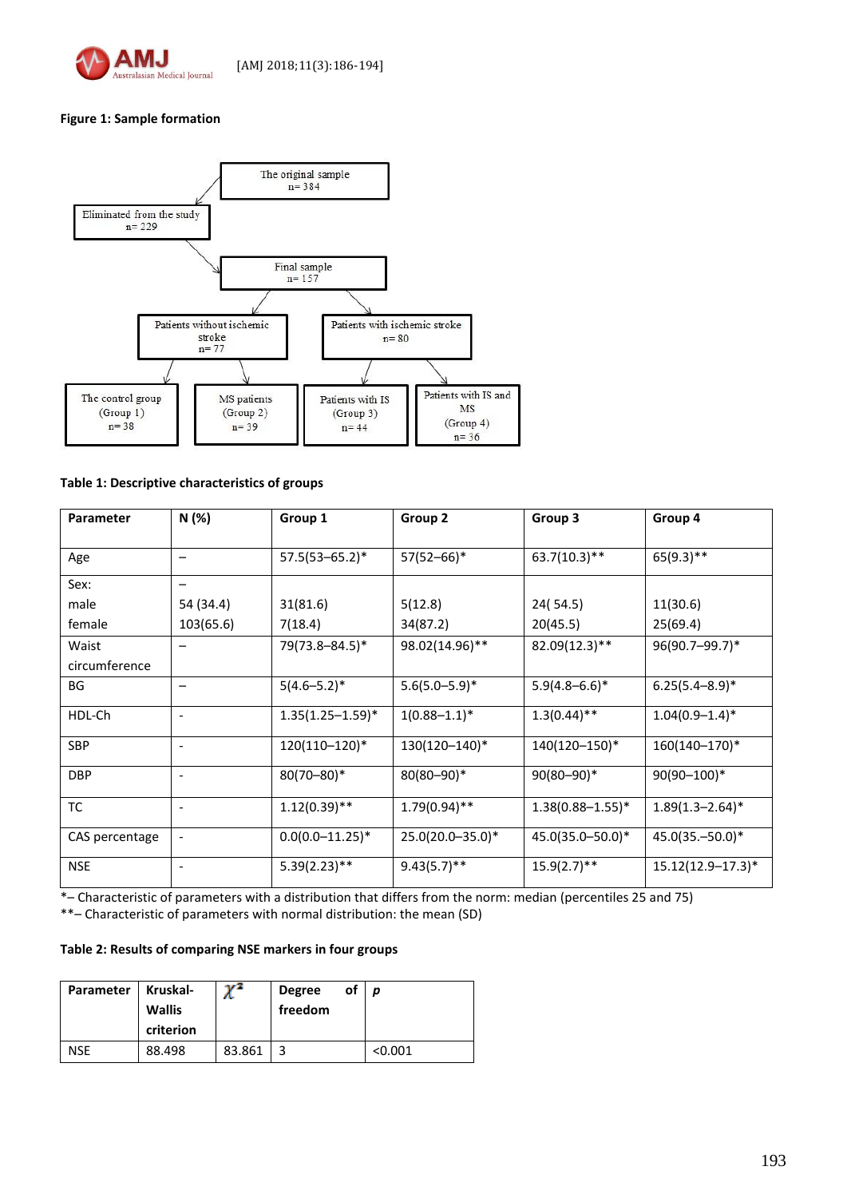

# **Figure 1: Sample formation**



### **Table 1: Descriptive characteristics of groups**

| Parameter      | N(%)                     | Group 1               | Group 2            | Group 3               | Group 4                      |  |
|----------------|--------------------------|-----------------------|--------------------|-----------------------|------------------------------|--|
| Age            |                          | $57.5(53 - 65.2)^*$   | 57(52-66)*         | $63.7(10.3)$ **       | $65(9.3)$ **                 |  |
| Sex:           |                          |                       |                    |                       |                              |  |
| male           | 54 (34.4)                | 31(81.6)              | 5(12.8)            | 24(54.5)              | 11(30.6)                     |  |
| female         | 103(65.6)                | 7(18.4)               | 34(87.2)           | 20(45.5)              | 25(69.4)                     |  |
| Waist          |                          | 79(73.8-84.5)*        | 98.02(14.96)**     | 82.09(12.3)**         | 96(90.7-99.7)*               |  |
| circumference  |                          |                       |                    |                       |                              |  |
| BG             |                          | $5(4.6 - 5.2)^*$      | $5.6(5.0 - 5.9)^*$ | $5.9(4.8 - 6.6)^*$    | $6.25(5.4 - 8.9)^*$          |  |
| HDL-Ch         | $\overline{\phantom{a}}$ | $1.35(1.25 - 1.59)^*$ | $1(0.88 - 1.1)^*$  | $1.3(0.44)$ **        | $1.04(0.9-1.4)$ <sup>*</sup> |  |
| <b>SBP</b>     | $\overline{\phantom{a}}$ | 120(110-120)*         | 130(120-140)*      | 140(120-150)*         | 160(140-170)*                |  |
| <b>DBP</b>     | $\overline{\phantom{a}}$ | $80(70 - 80)*$        | $80(80 - 90)*$     | $90(80 - 90)*$        | $90(90 - 100)*$              |  |
| TC             | $\overline{\phantom{a}}$ | $1.12(0.39)$ **       | $1.79(0.94)$ **    | $1.38(0.88 - 1.55)^*$ | $1.89(1.3 - 2.64)^*$         |  |
| CAS percentage |                          | $0.0(0.0-11.25)^*$    | 25.0(20.0-35.0)*   | 45.0(35.0-50.0)*      | $45.0(35,-50.0)*$            |  |
| <b>NSE</b>     | $\overline{\phantom{a}}$ | $5.39(2.23)$ **       | $9.43(5.7)$ **     | $15.9(2.7)$ **        | $15.12(12.9 - 17.3)*$        |  |

\*– Characteristic of parameters with a distribution that differs from the norm: median (percentiles 25 and 75)

\*\*– Characteristic of parameters with normal distribution: the mean (SD)

## **Table 2: Results of comparing NSE markers in four groups**

| Parameter  | Kruskal-<br><b>Wallis</b><br>criterion | $\mathbf{v}^2$<br>л. | <b>Degree</b><br>freedom | оf | D       |
|------------|----------------------------------------|----------------------|--------------------------|----|---------|
| <b>NSE</b> | 88.498                                 | 83.861               |                          |    | < 0.001 |